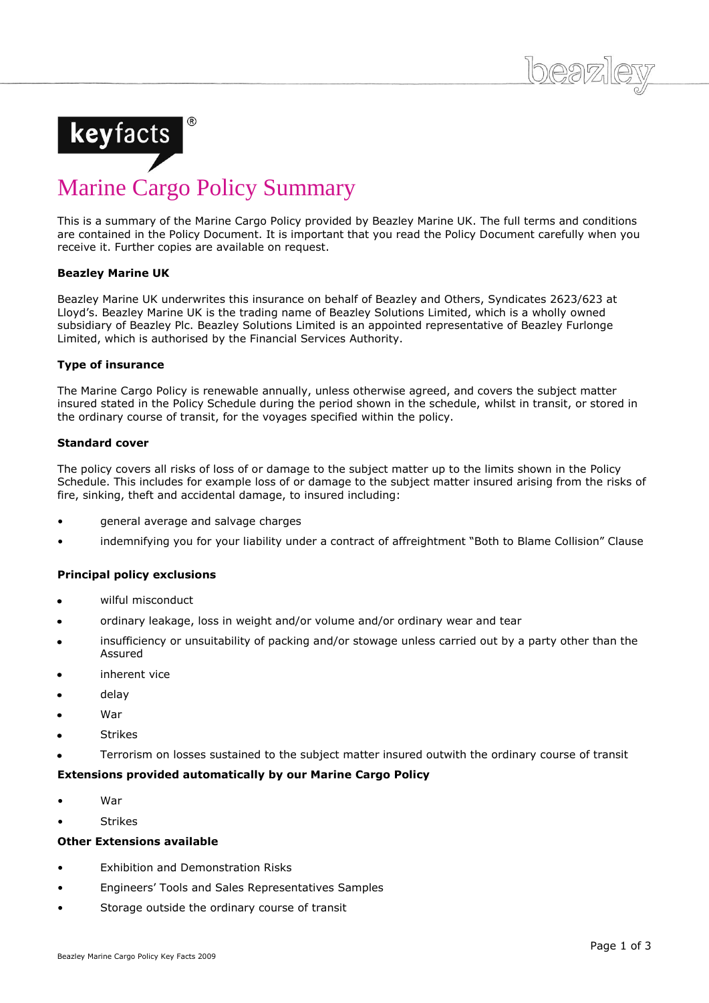

# Marine Cargo Policy Summary

This is a summary of the Marine Cargo Policy provided by Beazley Marine UK. The full terms and conditions are contained in the Policy Document. It is important that you read the Policy Document carefully when you receive it. Further copies are available on request.

## **Beazley Marine UK**

Beazley Marine UK underwrites this insurance on behalf of Beazley and Others, Syndicates 2623/623 at Lloyd's. Beazley Marine UK is the trading name of Beazley Solutions Limited, which is a wholly owned subsidiary of Beazley Plc. Beazley Solutions Limited is an appointed representative of Beazley Furlonge Limited, which is authorised by the Financial Services Authority.

# **Type of insurance**

The Marine Cargo Policy is renewable annually, unless otherwise agreed, and covers the subject matter insured stated in the Policy Schedule during the period shown in the schedule, whilst in transit, or stored in the ordinary course of transit, for the voyages specified within the policy.

## **Standard cover**

The policy covers all risks of loss of or damage to the subject matter up to the limits shown in the Policy Schedule. This includes for example loss of or damage to the subject matter insured arising from the risks of fire, sinking, theft and accidental damage, to insured including:

- general average and salvage charges
- indemnifying you for your liability under a contract of affreightment "Both to Blame Collision" Clause

# **Principal policy exclusions**

- wilful misconduct
- ordinary leakage, loss in weight and/or volume and/or ordinary wear and tear
- insufficiency or unsuitability of packing and/or stowage unless carried out by a party other than the Assured
- inherent vice
- delay
- War
- Strikes
- Terrorism on losses sustained to the subject matter insured outwith the ordinary course of transit

# **Extensions provided automatically by our Marine Cargo Policy**

- War
- Strikes

## **Other Extensions available**

- Exhibition and Demonstration Risks
- Engineers' Tools and Sales Representatives Samples
- Storage outside the ordinary course of transit

 $log27$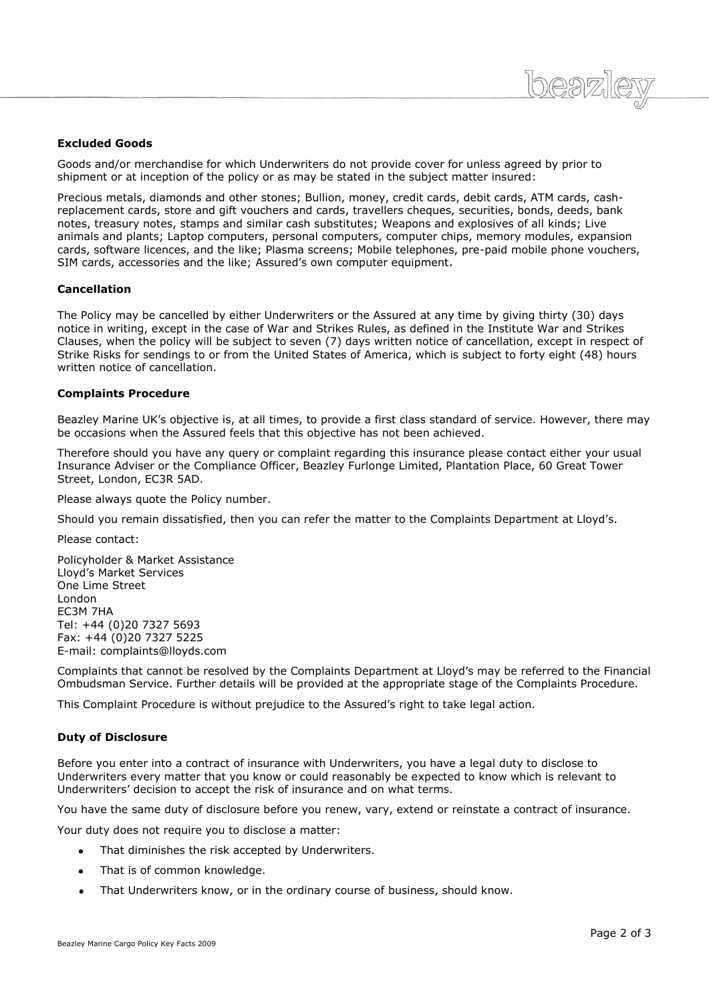## **Excluded Goods**

Goods and/or merchandise for which Underwriters do not provide cover for unless agreed by prior to shipment or at inception of the policy or as may be stated in the subject matter insured:

Precious metals, diamonds and other stones; Bullion, money, credit cards, debit cards, ATM cards, cashreplacement cards, store and gift vouchers and cards, travellers cheques, securities, bonds, deeds, bank notes, treasury notes, stamps and similar cash substitutes; Weapons and explosives of all kinds; Live animals and plants; Laptop computers, personal computers, computer chips, memory modules, expansion cards, software licences, and the like; Plasma screens; Mobile telephones, pre-paid mobile phone vouchers, SIM cards, accessories and the like; Assured's own computer equipment.

#### **Cancellation**

The Policy may be cancelled by either Underwriters or the Assured at any time by giving thirty (30) days notice in writing, except in the case of War and Strikes Rules, as defined in the Institute War and Strikes Clauses, when the policy will be subject to seven (7) days written notice of cancellation, except in respect of Strike Risks for sendings to or from the United States of America, which is subject to forty eight (48) hours written notice of cancellation.

#### **Complaints Procedure**

Beazley Marine UK's objective is, at all times, to provide a first class standard of service. However, there may be occasions when the Assured feels that this objective has not been achieved.

Therefore should you have any query or complaint regarding this insurance please contact either your usual Insurance Adviser or the Compliance Officer, Beazley Furlonge Limited, Plantation Place, 60 Great Tower Street, London, EC3R 5AD.

Please always quote the Policy number.

Should you remain dissatisfied, then you can refer the matter to the Complaints Department at Lloyd's.

Please contact:

Policyholder & Market Assistance Lloyd's Market Services One Lime Street London EC3M 7HA Tel: +44 (0)20 7327 5693 Fax: +44 (0)20 7327 5225 E-mail: complaints@lloyds.com

Complaints that cannot be resolved by the Complaints Department at Lloyd's may be referred to the Financial Ombudsman Service. Further details will be provided at the appropriate stage of the Complaints Procedure.

This Complaint Procedure is without prejudice to the Assured's right to take legal action.

#### **Duty of Disclosure**

Before you enter into a contract of insurance with Underwriters, you have a legal duty to disclose to Underwriters every matter that you know or could reasonably be expected to know which is relevant to Underwriters' decision to accept the risk of insurance and on what terms.

You have the same duty of disclosure before you renew, vary, extend or reinstate a contract of insurance.

Your duty does not require you to disclose a matter:

- That diminishes the risk accepted by Underwriters.
- That is of common knowledge.
- That Underwriters know, or in the ordinary course of business, should know. $\bullet$

 $logn$